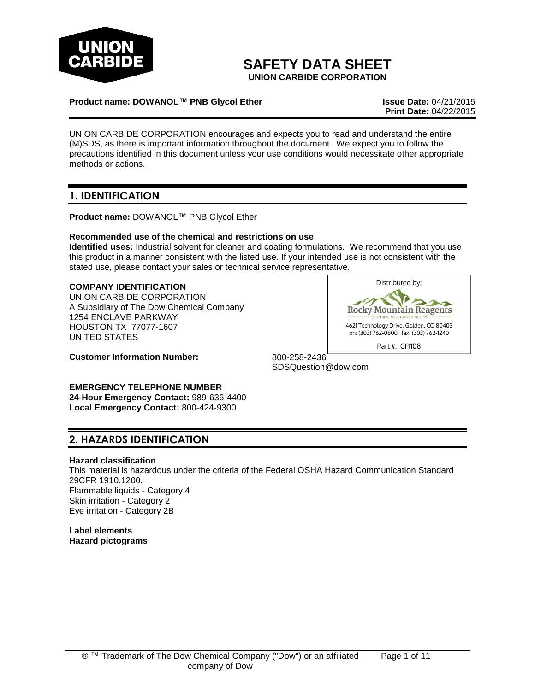

# **SAFETY DATA SHEET**

**UNION CARBIDE CORPORATION**

#### **Product name: DOWANOL™ PNB Glycol Ether Issue Date:** 04/21/2015

**Print Date:** 04/22/2015

UNION CARBIDE CORPORATION encourages and expects you to read and understand the entire (M)SDS, as there is important information throughout the document. We expect you to follow the precautions identified in this document unless your use conditions would necessitate other appropriate methods or actions.

## **1. IDENTIFICATION**

**Product name:** DOWANOL™ PNB Glycol Ether

#### **Recommended use of the chemical and restrictions on use**

**Identified uses:** Industrial solvent for cleaner and coating formulations. We recommend that you use this product in a manner consistent with the listed use. If your intended use is not consistent with the stated use, please contact your sales or technical service representative.

#### **COMPANY IDENTIFICATION**

UNION CARBIDE CORPORATION A Subsidiary of The Dow Chemical Company 1254 ENCLAVE PARKWAY HOUSTON TX 77077-1607 UNITED STATES

Distributed by: **Rocky Mountain Reagents** 

4621 Technology Drive, Golden, CO 80403 ph: (303) 762-0800 fax: (303) 762-1240 Part #: CF1108

**Customer Information Number:** 800-258-2436

SDSQuestion@dow.com

**EMERGENCY TELEPHONE NUMBER 24-Hour Emergency Contact:** 989-636-4400 **Local Emergency Contact:** 800-424-9300

### **2. HAZARDS IDENTIFICATION**

#### **Hazard classification**

This material is hazardous under the criteria of the Federal OSHA Hazard Communication Standard 29CFR 1910.1200. Flammable liquids - Category 4 Skin irritation - Category 2 Eye irritation - Category 2B

**Label elements Hazard pictograms**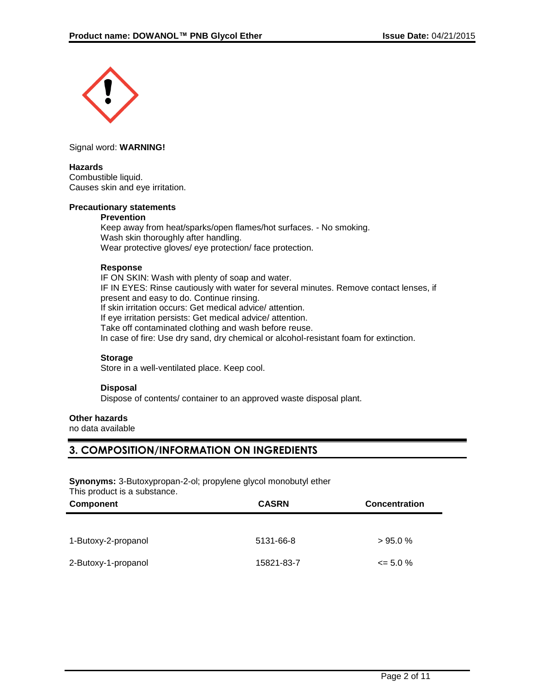

Signal word: **WARNING!**

#### **Hazards**

Combustible liquid. Causes skin and eye irritation.

#### **Precautionary statements**

#### **Prevention**

Keep away from heat/sparks/open flames/hot surfaces. - No smoking. Wash skin thoroughly after handling. Wear protective gloves/ eye protection/ face protection.

#### **Response**

IF ON SKIN: Wash with plenty of soap and water. IF IN EYES: Rinse cautiously with water for several minutes. Remove contact lenses, if present and easy to do. Continue rinsing. If skin irritation occurs: Get medical advice/ attention. If eye irritation persists: Get medical advice/ attention. Take off contaminated clothing and wash before reuse. In case of fire: Use dry sand, dry chemical or alcohol-resistant foam for extinction.

#### **Storage**

Store in a well-ventilated place. Keep cool.

#### **Disposal**

Dispose of contents/ container to an approved waste disposal plant.

#### **Other hazards**

no data available

### **3. COMPOSITION/INFORMATION ON INGREDIENTS**

**Synonyms:** 3-Butoxypropan-2-ol; propylene glycol monobutyl ether This product is a substance.

| Component           | <b>CASRN</b> | <b>Concentration</b> |
|---------------------|--------------|----------------------|
|                     |              |                      |
| 1-Butoxy-2-propanol | 5131-66-8    | >95.0%               |
| 2-Butoxy-1-propanol | 15821-83-7   | $\leq$ 5.0 %         |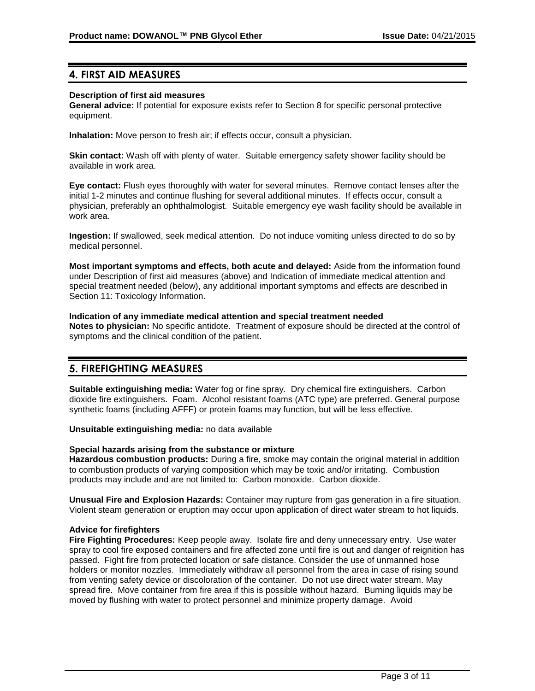### **4. FIRST AID MEASURES**

#### **Description of first aid measures**

**General advice:** If potential for exposure exists refer to Section 8 for specific personal protective equipment.

**Inhalation:** Move person to fresh air; if effects occur, consult a physician.

**Skin contact:** Wash off with plenty of water. Suitable emergency safety shower facility should be available in work area.

**Eye contact:** Flush eyes thoroughly with water for several minutes. Remove contact lenses after the initial 1-2 minutes and continue flushing for several additional minutes. If effects occur, consult a physician, preferably an ophthalmologist. Suitable emergency eye wash facility should be available in work area.

**Ingestion:** If swallowed, seek medical attention. Do not induce vomiting unless directed to do so by medical personnel.

**Most important symptoms and effects, both acute and delayed:** Aside from the information found under Description of first aid measures (above) and Indication of immediate medical attention and special treatment needed (below), any additional important symptoms and effects are described in Section 11: Toxicology Information.

#### **Indication of any immediate medical attention and special treatment needed**

**Notes to physician:** No specific antidote. Treatment of exposure should be directed at the control of symptoms and the clinical condition of the patient.

### **5. FIREFIGHTING MEASURES**

**Suitable extinguishing media:** Water fog or fine spray. Dry chemical fire extinguishers. Carbon dioxide fire extinguishers. Foam. Alcohol resistant foams (ATC type) are preferred. General purpose synthetic foams (including AFFF) or protein foams may function, but will be less effective.

**Unsuitable extinguishing media:** no data available

#### **Special hazards arising from the substance or mixture**

**Hazardous combustion products:** During a fire, smoke may contain the original material in addition to combustion products of varying composition which may be toxic and/or irritating. Combustion products may include and are not limited to: Carbon monoxide. Carbon dioxide.

**Unusual Fire and Explosion Hazards:** Container may rupture from gas generation in a fire situation. Violent steam generation or eruption may occur upon application of direct water stream to hot liquids.

#### **Advice for firefighters**

**Fire Fighting Procedures:** Keep people away. Isolate fire and deny unnecessary entry. Use water spray to cool fire exposed containers and fire affected zone until fire is out and danger of reignition has passed. Fight fire from protected location or safe distance. Consider the use of unmanned hose holders or monitor nozzles. Immediately withdraw all personnel from the area in case of rising sound from venting safety device or discoloration of the container. Do not use direct water stream. May spread fire. Move container from fire area if this is possible without hazard. Burning liquids may be moved by flushing with water to protect personnel and minimize property damage. Avoid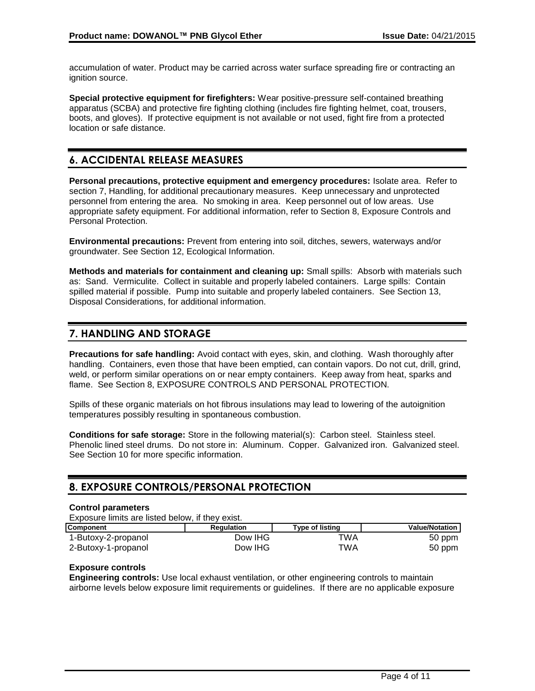accumulation of water. Product may be carried across water surface spreading fire or contracting an ignition source.

**Special protective equipment for firefighters:** Wear positive-pressure self-contained breathing apparatus (SCBA) and protective fire fighting clothing (includes fire fighting helmet, coat, trousers, boots, and gloves). If protective equipment is not available or not used, fight fire from a protected location or safe distance.

# **6. ACCIDENTAL RELEASE MEASURES**

**Personal precautions, protective equipment and emergency procedures:** Isolate area. Refer to section 7, Handling, for additional precautionary measures. Keep unnecessary and unprotected personnel from entering the area. No smoking in area. Keep personnel out of low areas. Use appropriate safety equipment. For additional information, refer to Section 8, Exposure Controls and Personal Protection.

**Environmental precautions:** Prevent from entering into soil, ditches, sewers, waterways and/or groundwater. See Section 12, Ecological Information.

**Methods and materials for containment and cleaning up:** Small spills: Absorb with materials such as: Sand. Vermiculite. Collect in suitable and properly labeled containers. Large spills: Contain spilled material if possible. Pump into suitable and properly labeled containers. See Section 13, Disposal Considerations, for additional information.

# **7. HANDLING AND STORAGE**

**Precautions for safe handling:** Avoid contact with eyes, skin, and clothing. Wash thoroughly after handling. Containers, even those that have been emptied, can contain vapors. Do not cut, drill, grind, weld, or perform similar operations on or near empty containers. Keep away from heat, sparks and flame. See Section 8, EXPOSURE CONTROLS AND PERSONAL PROTECTION.

Spills of these organic materials on hot fibrous insulations may lead to lowering of the autoignition temperatures possibly resulting in spontaneous combustion.

**Conditions for safe storage:** Store in the following material(s): Carbon steel. Stainless steel. Phenolic lined steel drums. Do not store in: Aluminum. Copper. Galvanized iron. Galvanized steel. See Section 10 for more specific information.

### **8. EXPOSURE CONTROLS/PERSONAL PROTECTION**

#### **Control parameters**

Exposure limits are listed below, if they exist.

| <b>Component</b>    | <b>Regulation</b> | Type of listing | <b>Value/Notation</b> |
|---------------------|-------------------|-----------------|-----------------------|
| 1-Butoxy-2-propanol | Dow IHG           | TWA             | 50 ppm                |
| 2-Butoxy-1-propanol | Dow IHG           | TWA             | 50 ppm                |

### **Exposure controls**

**Engineering controls:** Use local exhaust ventilation, or other engineering controls to maintain airborne levels below exposure limit requirements or guidelines. If there are no applicable exposure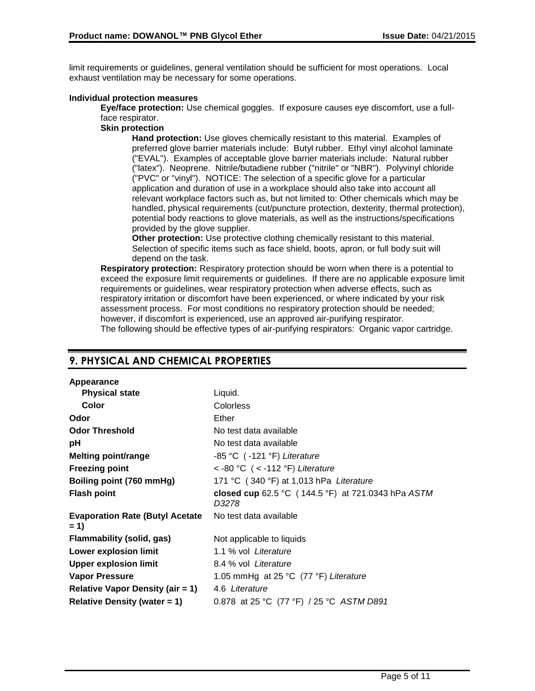limit requirements or guidelines, general ventilation should be sufficient for most operations. Local exhaust ventilation may be necessary for some operations.

#### **Individual protection measures**

**Eye/face protection:** Use chemical goggles. If exposure causes eye discomfort, use a fullface respirator.

#### **Skin protection**

**Hand protection:** Use gloves chemically resistant to this material. Examples of preferred glove barrier materials include: Butyl rubber. Ethyl vinyl alcohol laminate ("EVAL"). Examples of acceptable glove barrier materials include: Natural rubber ("latex"). Neoprene. Nitrile/butadiene rubber ("nitrile" or "NBR"). Polyvinyl chloride ("PVC" or "vinyl"). NOTICE: The selection of a specific glove for a particular application and duration of use in a workplace should also take into account all relevant workplace factors such as, but not limited to: Other chemicals which may be handled, physical requirements (cut/puncture protection, dexterity, thermal protection), potential body reactions to glove materials, as well as the instructions/specifications provided by the glove supplier.

**Other protection:** Use protective clothing chemically resistant to this material. Selection of specific items such as face shield, boots, apron, or full body suit will depend on the task.

**Respiratory protection:** Respiratory protection should be worn when there is a potential to exceed the exposure limit requirements or guidelines. If there are no applicable exposure limit requirements or guidelines, wear respiratory protection when adverse effects, such as respiratory irritation or discomfort have been experienced, or where indicated by your risk assessment process. For most conditions no respiratory protection should be needed; however, if discomfort is experienced, use an approved air-purifying respirator. The following should be effective types of air-purifying respirators: Organic vapor cartridge.

### **9. PHYSICAL AND CHEMICAL PROPERTIES**

| <b>Physical state</b>                           | Liquid.                                                     |
|-------------------------------------------------|-------------------------------------------------------------|
| Color                                           | <b>Colorless</b>                                            |
| Odor                                            | Ether                                                       |
| <b>Odor Threshold</b>                           | No test data available                                      |
| рH                                              | No test data available                                      |
| <b>Melting point/range</b>                      | $-85$ °C $( -121$ °F) Literature                            |
| <b>Freezing point</b>                           | <-80 °C (<-112 °F) Literature                               |
| Boiling point (760 mmHg)                        | 171 °C (340 °F) at 1,013 hPa Literature                     |
| <b>Flash point</b>                              | closed cup 62.5 °C (144.5 °F) at 721.0343 hPa ASTM<br>D3278 |
| <b>Evaporation Rate (Butyl Acetate</b><br>$= 1$ | No test data available                                      |
| Flammability (solid, gas)                       | Not applicable to liquids                                   |
| <b>Lower explosion limit</b>                    | 1.1 % vol Literature                                        |
| <b>Upper explosion limit</b>                    | 8.4 % vol Literature                                        |
| <b>Vapor Pressure</b>                           | 1.05 mmHg at 25 °C (77 °F) Literature                       |
| <b>Relative Vapor Density (air = 1)</b>         | 4.6 Literature                                              |
| Relative Density (water $= 1$ )                 | 0.878 at 25 °C (77 °F) / 25 °C ASTM D891                    |
|                                                 |                                                             |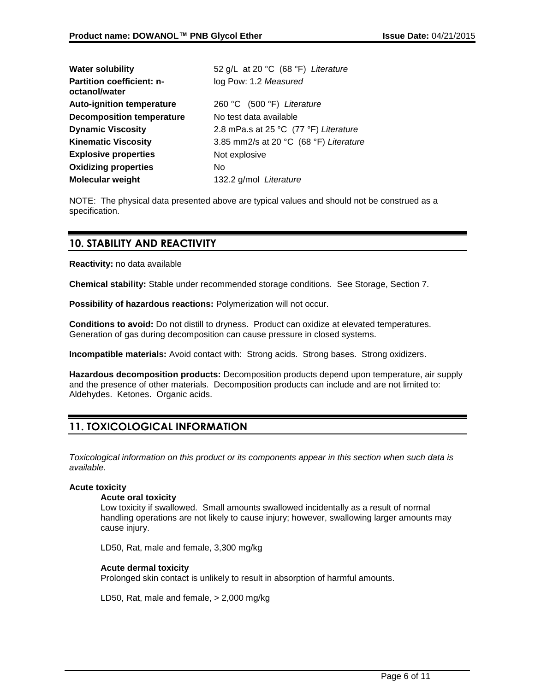| <b>Water solubility</b>                           | 52 g/L at 20 °C (68 °F) Literature     |
|---------------------------------------------------|----------------------------------------|
| <b>Partition coefficient: n-</b><br>octanol/water | log Pow: 1.2 Measured                  |
| <b>Auto-ignition temperature</b>                  | 260 °C (500 °F) Literature             |
| <b>Decomposition temperature</b>                  | No test data available                 |
| <b>Dynamic Viscosity</b>                          | 2.8 mPa.s at 25 °C (77 °F) Literature  |
| <b>Kinematic Viscosity</b>                        | 3.85 mm2/s at 20 °C (68 °F) Literature |
| <b>Explosive properties</b>                       | Not explosive                          |
| <b>Oxidizing properties</b>                       | No.                                    |
| <b>Molecular weight</b>                           | 132.2 g/mol Literature                 |

NOTE: The physical data presented above are typical values and should not be construed as a specification.

## **10. STABILITY AND REACTIVITY**

**Reactivity:** no data available

**Chemical stability:** Stable under recommended storage conditions. See Storage, Section 7.

**Possibility of hazardous reactions:** Polymerization will not occur.

**Conditions to avoid:** Do not distill to dryness. Product can oxidize at elevated temperatures. Generation of gas during decomposition can cause pressure in closed systems.

**Incompatible materials:** Avoid contact with: Strong acids. Strong bases. Strong oxidizers.

**Hazardous decomposition products:** Decomposition products depend upon temperature, air supply and the presence of other materials. Decomposition products can include and are not limited to: Aldehydes. Ketones. Organic acids.

# **11. TOXICOLOGICAL INFORMATION**

*Toxicological information on this product or its components appear in this section when such data is available.*

#### **Acute toxicity**

#### **Acute oral toxicity**

Low toxicity if swallowed. Small amounts swallowed incidentally as a result of normal handling operations are not likely to cause injury; however, swallowing larger amounts may cause injury.

LD50, Rat, male and female, 3,300 mg/kg

#### **Acute dermal toxicity**

Prolonged skin contact is unlikely to result in absorption of harmful amounts.

LD50, Rat, male and female, > 2,000 mg/kg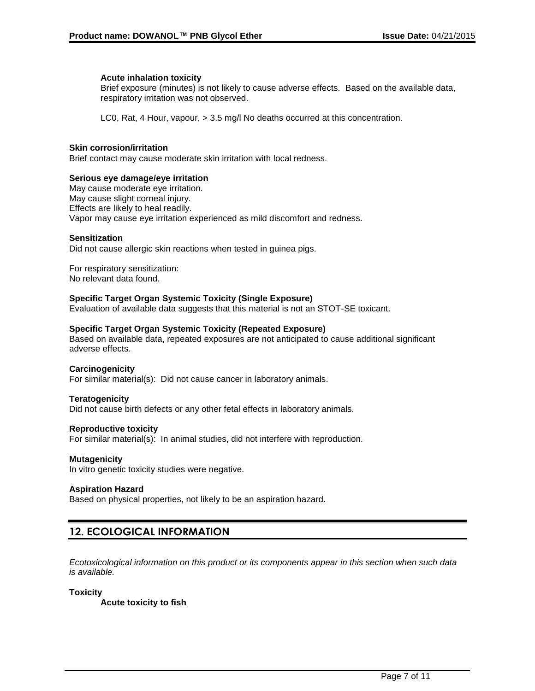#### **Acute inhalation toxicity**

Brief exposure (minutes) is not likely to cause adverse effects. Based on the available data, respiratory irritation was not observed.

LC0, Rat, 4 Hour, vapour, > 3.5 mg/l No deaths occurred at this concentration.

#### **Skin corrosion/irritation**

Brief contact may cause moderate skin irritation with local redness.

#### **Serious eye damage/eye irritation**

May cause moderate eye irritation. May cause slight corneal injury. Effects are likely to heal readily. Vapor may cause eye irritation experienced as mild discomfort and redness.

#### **Sensitization**

Did not cause allergic skin reactions when tested in guinea pigs.

For respiratory sensitization: No relevant data found.

#### **Specific Target Organ Systemic Toxicity (Single Exposure)**

Evaluation of available data suggests that this material is not an STOT-SE toxicant.

#### **Specific Target Organ Systemic Toxicity (Repeated Exposure)**

Based on available data, repeated exposures are not anticipated to cause additional significant adverse effects.

#### **Carcinogenicity**

For similar material(s): Did not cause cancer in laboratory animals.

#### **Teratogenicity**

Did not cause birth defects or any other fetal effects in laboratory animals.

#### **Reproductive toxicity**

For similar material(s): In animal studies, did not interfere with reproduction.

#### **Mutagenicity**

In vitro genetic toxicity studies were negative.

#### **Aspiration Hazard**

Based on physical properties, not likely to be an aspiration hazard.

### **12. ECOLOGICAL INFORMATION**

*Ecotoxicological information on this product or its components appear in this section when such data is available.*

#### **Toxicity**

**Acute toxicity to fish**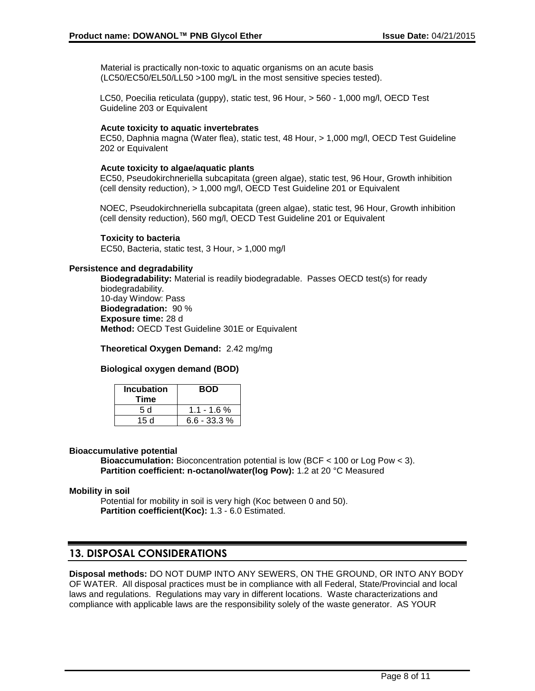Material is practically non-toxic to aquatic organisms on an acute basis (LC50/EC50/EL50/LL50 >100 mg/L in the most sensitive species tested).

LC50, Poecilia reticulata (guppy), static test, 96 Hour, > 560 - 1,000 mg/l, OECD Test Guideline 203 or Equivalent

#### **Acute toxicity to aquatic invertebrates**

EC50, Daphnia magna (Water flea), static test, 48 Hour, > 1,000 mg/l, OECD Test Guideline 202 or Equivalent

#### **Acute toxicity to algae/aquatic plants**

EC50, Pseudokirchneriella subcapitata (green algae), static test, 96 Hour, Growth inhibition (cell density reduction), > 1,000 mg/l, OECD Test Guideline 201 or Equivalent

NOEC, Pseudokirchneriella subcapitata (green algae), static test, 96 Hour, Growth inhibition (cell density reduction), 560 mg/l, OECD Test Guideline 201 or Equivalent

**Toxicity to bacteria**

EC50, Bacteria, static test, 3 Hour, > 1,000 mg/l

#### **Persistence and degradability**

**Biodegradability:** Material is readily biodegradable. Passes OECD test(s) for ready biodegradability. 10-day Window: Pass **Biodegradation:** 90 % **Exposure time:** 28 d **Method:** OECD Test Guideline 301E or Equivalent

**Theoretical Oxygen Demand:** 2.42 mg/mg

#### **Biological oxygen demand (BOD)**

| <b>Incubation</b><br>Time | <b>BOD</b>     |
|---------------------------|----------------|
| 5 d                       | $1.1 - 1.6%$   |
| 15d                       | $6.6 - 33.3 %$ |

#### **Bioaccumulative potential**

**Bioaccumulation:** Bioconcentration potential is low (BCF < 100 or Log Pow < 3). **Partition coefficient: n-octanol/water(log Pow):** 1.2 at 20 °C Measured

#### **Mobility in soil**

Potential for mobility in soil is very high (Koc between 0 and 50). **Partition coefficient(Koc):** 1.3 - 6.0 Estimated.

### **13. DISPOSAL CONSIDERATIONS**

**Disposal methods:** DO NOT DUMP INTO ANY SEWERS, ON THE GROUND, OR INTO ANY BODY OF WATER. All disposal practices must be in compliance with all Federal, State/Provincial and local laws and regulations. Regulations may vary in different locations. Waste characterizations and compliance with applicable laws are the responsibility solely of the waste generator. AS YOUR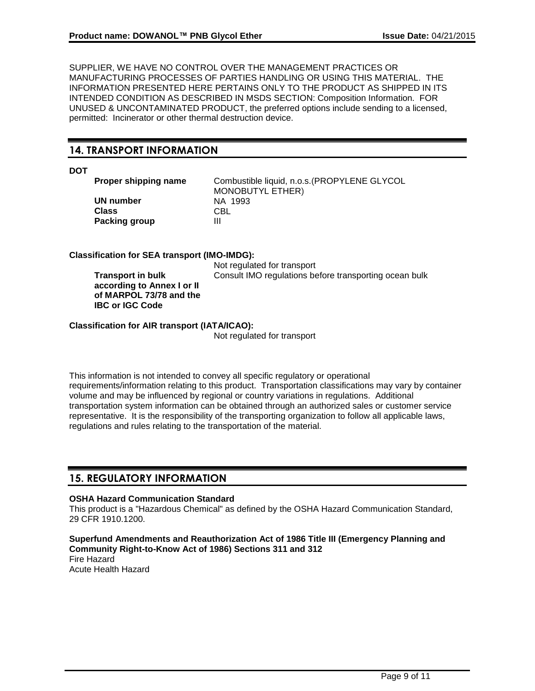SUPPLIER, WE HAVE NO CONTROL OVER THE MANAGEMENT PRACTICES OR MANUFACTURING PROCESSES OF PARTIES HANDLING OR USING THIS MATERIAL. THE INFORMATION PRESENTED HERE PERTAINS ONLY TO THE PRODUCT AS SHIPPED IN ITS INTENDED CONDITION AS DESCRIBED IN MSDS SECTION: Composition Information. FOR UNUSED & UNCONTAMINATED PRODUCT, the preferred options include sending to a licensed, permitted: Incinerator or other thermal destruction device.

### **14. TRANSPORT INFORMATION**

#### **DOT**

**UN number** NA 1993<br>Class CRI **Class Packing group III** 

**Proper shipping name** Combustible liquid, n.o.s.(PROPYLENE GLYCOL MONOBUTYL ETHER)

#### **Classification for SEA transport (IMO-IMDG):**

**Transport in bulk according to Annex I or II of MARPOL 73/78 and the IBC or IGC Code**

Not regulated for transport Consult IMO regulations before transporting ocean bulk

**Classification for AIR transport (IATA/ICAO):**

Not regulated for transport

This information is not intended to convey all specific regulatory or operational requirements/information relating to this product. Transportation classifications may vary by container volume and may be influenced by regional or country variations in regulations. Additional transportation system information can be obtained through an authorized sales or customer service representative. It is the responsibility of the transporting organization to follow all applicable laws, regulations and rules relating to the transportation of the material.

### **15. REGULATORY INFORMATION**

### **OSHA Hazard Communication Standard**

This product is a "Hazardous Chemical" as defined by the OSHA Hazard Communication Standard, 29 CFR 1910.1200.

**Superfund Amendments and Reauthorization Act of 1986 Title III (Emergency Planning and Community Right-to-Know Act of 1986) Sections 311 and 312** Fire Hazard Acute Health Hazard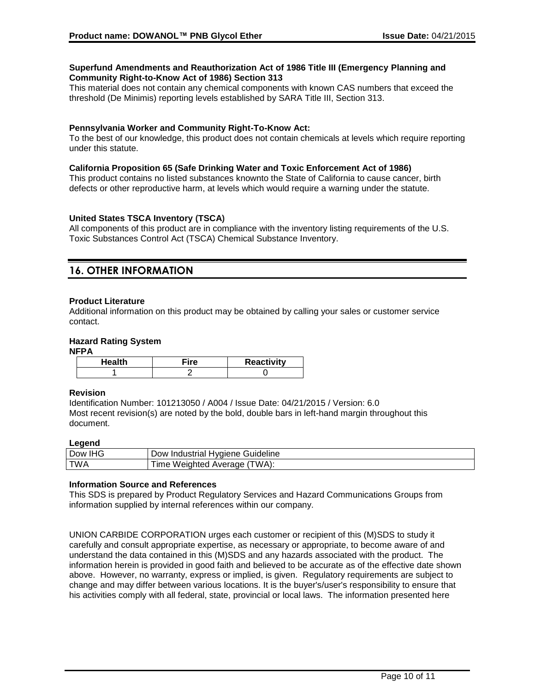#### **Superfund Amendments and Reauthorization Act of 1986 Title III (Emergency Planning and Community Right-to-Know Act of 1986) Section 313**

This material does not contain any chemical components with known CAS numbers that exceed the threshold (De Minimis) reporting levels established by SARA Title III, Section 313.

#### **Pennsylvania Worker and Community Right-To-Know Act:**

To the best of our knowledge, this product does not contain chemicals at levels which require reporting under this statute.

#### **California Proposition 65 (Safe Drinking Water and Toxic Enforcement Act of 1986)**

This product contains no listed substances knownto the State of California to cause cancer, birth defects or other reproductive harm, at levels which would require a warning under the statute.

#### **United States TSCA Inventory (TSCA)**

All components of this product are in compliance with the inventory listing requirements of the U.S. Toxic Substances Control Act (TSCA) Chemical Substance Inventory.

## **16. OTHER INFORMATION**

#### **Product Literature**

Additional information on this product may be obtained by calling your sales or customer service contact.

#### **Hazard Rating System**

#### **NFPA**

| ⊤'ro | <b>Reactivity</b> |
|------|-------------------|
|      |                   |

#### **Revision**

Identification Number: 101213050 / A004 / Issue Date: 04/21/2015 / Version: 6.0 Most recent revision(s) are noted by the bold, double bars in left-hand margin throughout this document.

#### **Legend**

| <b>IHG</b><br>Dow<br>Guideline<br>Industrial<br>Hvaiene<br>JOW. |  |
|-----------------------------------------------------------------|--|
| TWA).<br><b>TWA</b><br>√eighted<br>w<br>Average<br>не           |  |

#### **Information Source and References**

This SDS is prepared by Product Regulatory Services and Hazard Communications Groups from information supplied by internal references within our company.

UNION CARBIDE CORPORATION urges each customer or recipient of this (M)SDS to study it carefully and consult appropriate expertise, as necessary or appropriate, to become aware of and understand the data contained in this (M)SDS and any hazards associated with the product. The information herein is provided in good faith and believed to be accurate as of the effective date shown above. However, no warranty, express or implied, is given. Regulatory requirements are subject to change and may differ between various locations. It is the buyer's/user's responsibility to ensure that his activities comply with all federal, state, provincial or local laws. The information presented here